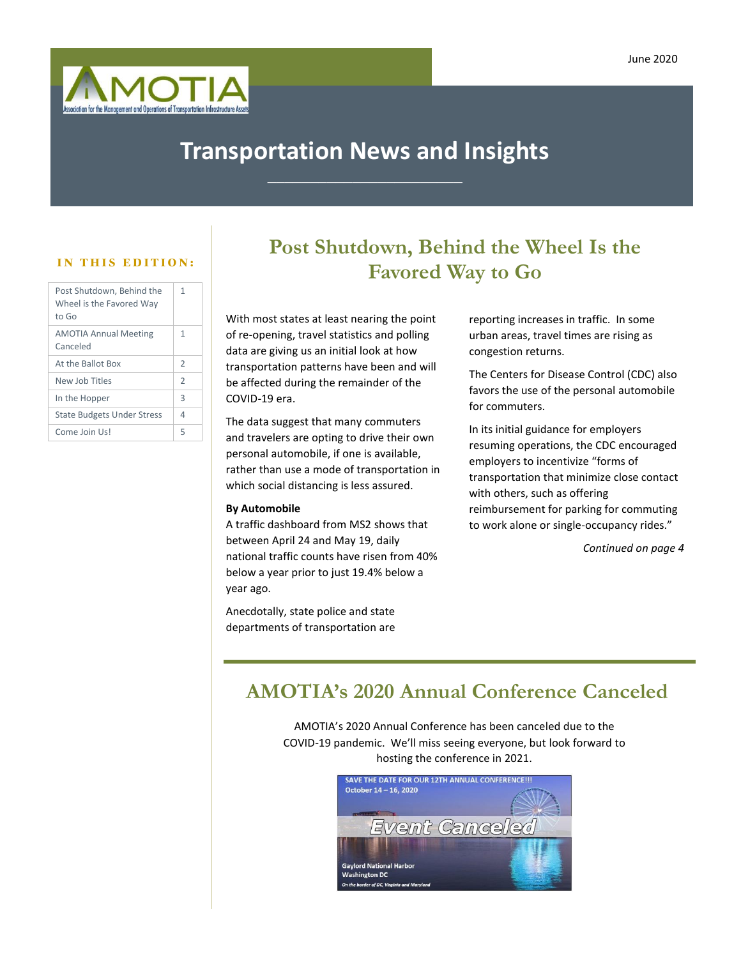

## **Transportation News and Insights**

 $\_$ 

| Post Shutdown, Behind the<br>Wheel is the Favored Way<br>to Go | 1              |
|----------------------------------------------------------------|----------------|
| <b>AMOTIA Annual Meeting</b><br>Canceled                       | 1              |
| At the Ballot Box                                              | $\overline{2}$ |
| New Job Titles                                                 | $\overline{2}$ |
| In the Hopper                                                  | 3              |
| <b>State Budgets Under Stress</b>                              | 4              |
| Come Join Usl                                                  | 5              |
|                                                                |                |

## **Post Shutdown, Behind the Wheel Is the Favored Way to Go**

With most states at least nearing the point of re-opening, travel statistics and polling data are giving us an initial look at how transportation patterns have been and will be affected during the remainder of the COVID-19 era.

The data suggest that many commuters and travelers are opting to drive their own personal automobile, if one is available, rather than use a mode of transportation in which social distancing is less assured.

#### **By Automobile**

A traffic dashboard from MS2 shows that between April 24 and May 19, daily national traffic counts have risen from 40% below a year prior to just 19.4% below a year ago.

Anecdotally, state police and state departments of transportation are reporting increases in traffic. In some urban areas, travel times are rising as congestion returns.

The Centers for Disease Control (CDC) also favors the use of the personal automobile for commuters.

In its initial guidance for employers resuming operations, the CDC encouraged employers to incentivize "forms of transportation that minimize close contact with others, such as offering reimbursement for parking for commuting to work alone or single-occupancy rides."

*Continued on page 4*

## **AMOTIA's 2020 Annual Conference Canceled**

AMOTIA's 2020 Annual Conference has been canceled due to the COVID-19 pandemic. We'll miss seeing everyone, but look forward to hosting the conference in 2021.

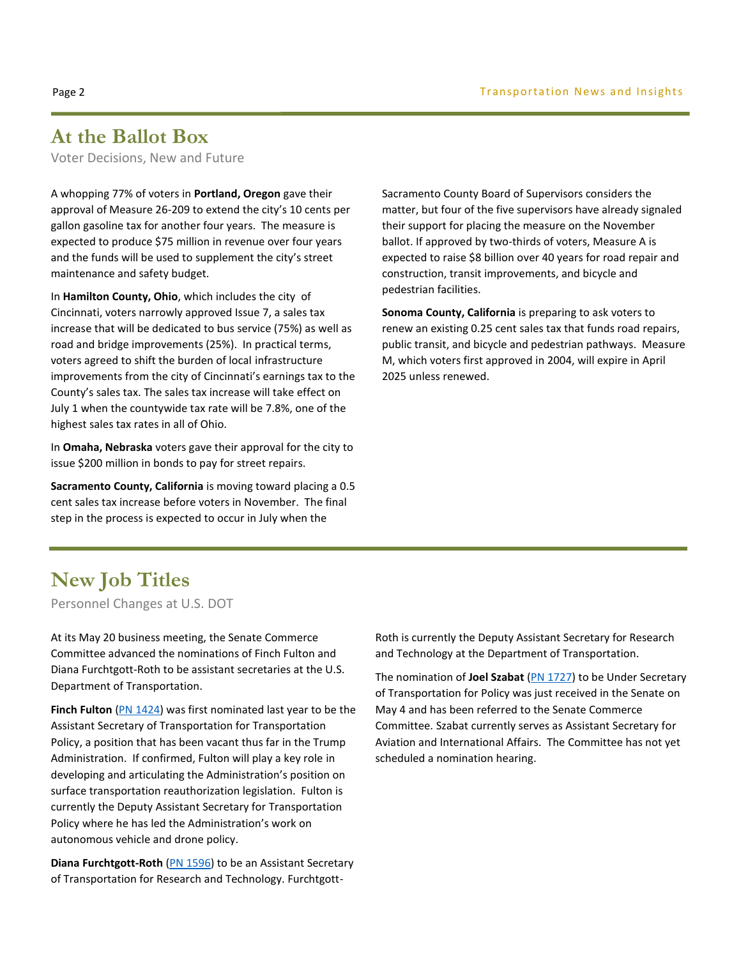## **At the Ballot Box**

Voter Decisions, New and Future

A whopping 77% of voters in **Portland, Oregon** gave their approval of Measure 26-209 to extend the city's 10 cents per gallon gasoline tax for another four years. The measure is expected to produce \$75 million in revenue over four years and the funds will be used to supplement the city's street maintenance and safety budget.

In **Hamilton County, Ohio**, which includes the city of Cincinnati, voters narrowly approved Issue 7, a sales tax increase that will be dedicated to bus service (75%) as well as road and bridge improvements (25%). In practical terms, voters agreed to shift the burden of local infrastructure improvements from the city of Cincinnati's earnings tax to the County's sales tax. The sales tax increase will take effect on July 1 when the countywide tax rate will be 7.8%, one of the highest sales tax rates in all of Ohio.

In **Omaha, Nebraska** voters gave their approval for the city to issue \$200 million in bonds to pay for street repairs.

**Sacramento County, California** is moving toward placing a 0.5 cent sales tax increase before voters in November. The final step in the process is expected to occur in July when the

Sacramento County Board of Supervisors considers the matter, but four of the five supervisors have already signaled their support for placing the measure on the November ballot. If approved by two-thirds of voters, Measure A is expected to raise \$8 billion over 40 years for road repair and construction, transit improvements, and bicycle and pedestrian facilities.

**Sonoma County, California** is preparing to ask voters to renew an existing 0.25 cent sales tax that funds road repairs, public transit, and bicycle and pedestrian pathways. Measure M, which voters first approved in 2004, will expire in April 2025 unless renewed.

## **New Job Titles**

Personnel Changes at U.S. DOT

At its May 20 business meeting, the Senate Commerce Committee advanced the nominations of Finch Fulton and Diana Furchtgott-Roth to be assistant secretaries at the U.S. Department of Transportation.

**Finch Fulton** [\(PN 1424\)](https://www.congress.gov/nomination/116th-congress/1424) was first nominated last year to be the Assistant Secretary of Transportation for Transportation Policy, a position that has been vacant thus far in the Trump Administration. If confirmed, Fulton will play a key role in developing and articulating the Administration's position on surface transportation reauthorization legislation. Fulton is currently the Deputy Assistant Secretary for Transportation Policy where he has led the Administration's work on autonomous vehicle and drone policy.

**Diana Furchtgott-Roth** (*PN 1596*) to be an Assistant Secretary of Transportation for Research and Technology. FurchtgottRoth is currently the Deputy Assistant Secretary for Research and Technology at the Department of Transportation.

The nomination of **Joel Szabat** [\(PN 1727\)](https://www.congress.gov/nomination/116th-congress/1727) to be Under Secretary of Transportation for Policy was just received in the Senate on May 4 and has been referred to the Senate Commerce Committee. Szabat currently serves as Assistant Secretary for Aviation and International Affairs. The Committee has not yet scheduled a nomination hearing.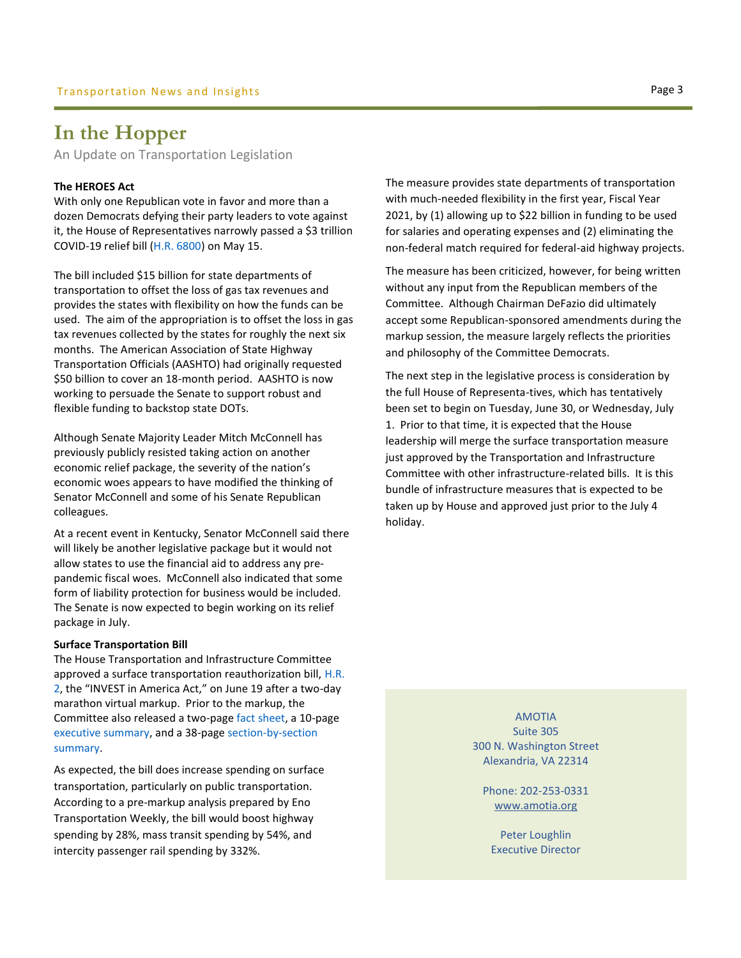## **In the Hopper**

An Update on Transportation Legislation

#### **The HEROES Act**

With only one Republican vote in favor and more than a dozen Democrats defying their party leaders to vote against it, the House of Representatives narrowly passed a \$3 trillion COVID-19 relief bill [\(H.R. 6800\)](https://www.congress.gov/bill/116th-congress/house-bill/6800) on May 15.

The bill included \$15 billion for state departments of transportation to offset the loss of gas tax revenues and provides the states with flexibility on how the funds can be used. The aim of the appropriation is to offset the loss in gas tax revenues collected by the states for roughly the next six months. The American Association of State Highway Transportation Officials (AASHTO) had originally requested \$50 billion to cover an 18-month period. AASHTO is now working to persuade the Senate to support robust and flexible funding to backstop state DOTs.

Although Senate Majority Leader Mitch McConnell has previously publicly resisted taking action on another economic relief package, the severity of the nation's economic woes appears to have modified the thinking of Senator McConnell and some of his Senate Republican colleagues.

At a recent event in Kentucky, Senator McConnell said there will likely be another legislative package but it would not allow states to use the financial aid to address any prepandemic fiscal woes. McConnell also indicated that some form of liability protection for business would be included. The Senate is now expected to begin working on its relief package in July.

#### **Surface Transportation Bill**

The House Transportation and Infrastructure Committee approved a surface transportation reauthorization bill, [H.R.](https://www.congress.gov/bill/116th-congress/house-bill/2)  [2](https://www.congress.gov/bill/116th-congress/house-bill/2), the "INVEST in America Act," on June 19 after a two-day marathon virtual markup. Prior to the markup, the Committee also released a two-pag[e fact sheet,](https://transportation.house.gov/imo/media/doc/2020%20INVEST%20In%20America%20Fact%20Sheet.pdf) a 10-page [executive summary,](https://transportation.house.gov/imo/media/doc/2020%20INVEST%20in%20America%20Bill%20Summary.pdf) and a 38-page [section-by-section](https://transportation.house.gov/imo/media/doc/2020%20INVEST%20in%20America%20Act%20Section-by-Section.pdf)  [summary.](https://transportation.house.gov/imo/media/doc/2020%20INVEST%20in%20America%20Act%20Section-by-Section.pdf)

As expected, the bill does increase spending on surface transportation, particularly on public transportation. According to a pre-markup analysis prepared by Eno Transportation Weekly, the bill would boost highway spending by 28%, mass transit spending by 54%, and intercity passenger rail spending by 332%.

The measure provides state departments of transportation with much-needed flexibility in the first year, Fiscal Year 2021, by (1) allowing up to \$22 billion in funding to be used for salaries and operating expenses and (2) eliminating the non-federal match required for federal-aid highway projects.

The measure has been criticized, however, for being written without any input from the Republican members of the Committee. Although Chairman DeFazio did ultimately accept some Republican-sponsored amendments during the markup session, the measure largely reflects the priorities and philosophy of the Committee Democrats.

The next step in the legislative process is consideration by the full House of Representa-tives, which has tentatively been set to begin on Tuesday, June 30, or Wednesday, July 1. Prior to that time, it is expected that the House leadership will merge the surface transportation measure just approved by the Transportation and Infrastructure Committee with other infrastructure-related bills. It is this bundle of infrastructure measures that is expected to be taken up by House and approved just prior to the July 4 holiday.

> AMOTIA Suite 305 300 N. Washington Street Alexandria, VA 22314

Phone: 202-253-0331 [www.amotia.org](http://www.amotia.org/)

Peter Loughlin Executive Director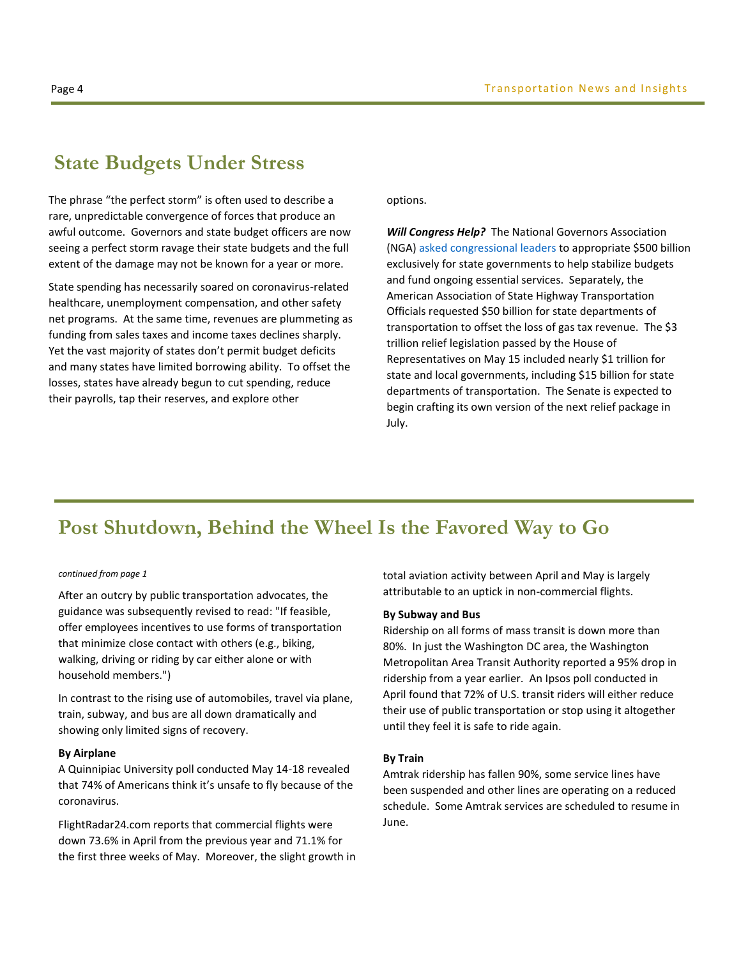## **State Budgets Under Stress**

The phrase "the perfect storm" is often used to describe a rare, unpredictable convergence of forces that produce an awful outcome. Governors and state budget officers are now seeing a perfect storm ravage their state budgets and the full extent of the damage may not be known for a year or more.

State spending has necessarily soared on coronavirus-related healthcare, unemployment compensation, and other safety net programs. At the same time, revenues are plummeting as funding from sales taxes and income taxes declines sharply. Yet the vast majority of states don't permit budget deficits and many states have limited borrowing ability. To offset the losses, states have already begun to cut spending, reduce their payrolls, tap their reserves, and explore other

options.

*Will Congress Help?* The National Governors Association (NGA[\) asked congressional leaders](https://www.nga.org/policy-communications/letters-nga/governors-letter-regarding-covid-19-aid-request/) to appropriate \$500 billion exclusively for state governments to help stabilize budgets and fund ongoing essential services. Separately, the American Association of State Highway Transportation Officials requested \$50 billion for state departments of transportation to offset the loss of gas tax revenue. The \$3 trillion relief legislation passed by the House of Representatives on May 15 included nearly \$1 trillion for state and local governments, including \$15 billion for state departments of transportation. The Senate is expected to begin crafting its own version of the next relief package in July.

## **Post Shutdown, Behind the Wheel Is the Favored Way to Go**

#### *continued from page 1*

After an outcry by public transportation advocates, the guidance was subsequently revised to read: "If feasible, offer employees incentives to use forms of transportation that minimize close contact with others (e.g., biking, walking, driving or riding by car either alone or with household members.")

In contrast to the rising use of automobiles, travel via plane, train, subway, and bus are all down dramatically and showing only limited signs of recovery.

#### **By Airplane**

A Quinnipiac University poll conducted May 14-18 revealed that 74% of Americans think it's unsafe to fly because of the coronavirus.

FlightRadar24.com reports that commercial flights were down 73.6% in April from the previous year and 71.1% for the first three weeks of May. Moreover, the slight growth in total aviation activity between April and May is largely attributable to an uptick in non-commercial flights.

#### **By Subway and Bus**

Ridership on all forms of mass transit is down more than 80%. In just the Washington DC area, the Washington Metropolitan Area Transit Authority reported a 95% drop in ridership from a year earlier. An Ipsos poll conducted in April found that 72% of U.S. transit riders will either reduce their use of public transportation or stop using it altogether until they feel it is safe to ride again.

#### **By Train**

Amtrak ridership has fallen 90%, some service lines have been suspended and other lines are operating on a reduced schedule. Some Amtrak services are scheduled to resume in June.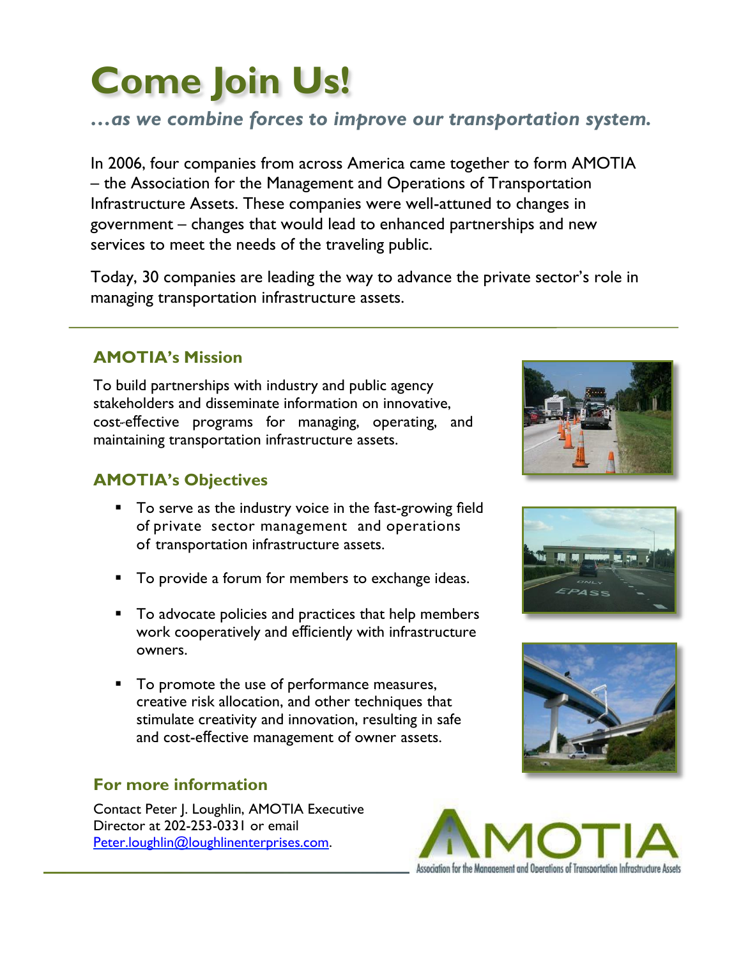# **Come Join Us!**

## *…as we combine forces to improve our transportation system.*

In 2006, four companies from across America came together to form AMOTIA – the Association for the Management and Operations of Transportation Infrastructure Assets. These companies were well-attuned to changes in government – changes that would lead to enhanced partnerships and new services to meet the needs of the traveling public.

Today, 30 companies are leading the way to advance the private sector's role in managing transportation infrastructure assets.

## **AMOTIA's Mission**

To build partnerships with industry and public agency stakeholders and disseminate information on innovative, cost-effective programs for managing, operating, and maintaining transportation infrastructure assets.

## **AMOTIA's Objectives**

- To serve as the industry voice in the fast-growing field of private sector management and operations of transportation infrastructure assets.
- To provide a forum for members to exchange ideas.
- To advocate policies and practices that help members work cooperatively and efficiently with infrastructure owners.
- To promote the use of performance measures, creative risk allocation, and other techniques that stimulate creativity and innovation, resulting in safe and cost-effective management of owner assets.

## **For more information**

Contact Peter J. Loughlin, AMOTIA Executive Director at 202-253-0331 or email [Peter.loughlin@loughlinenterprises.com.](mailto:Peter.loughlin@loughlinenterprises.com)